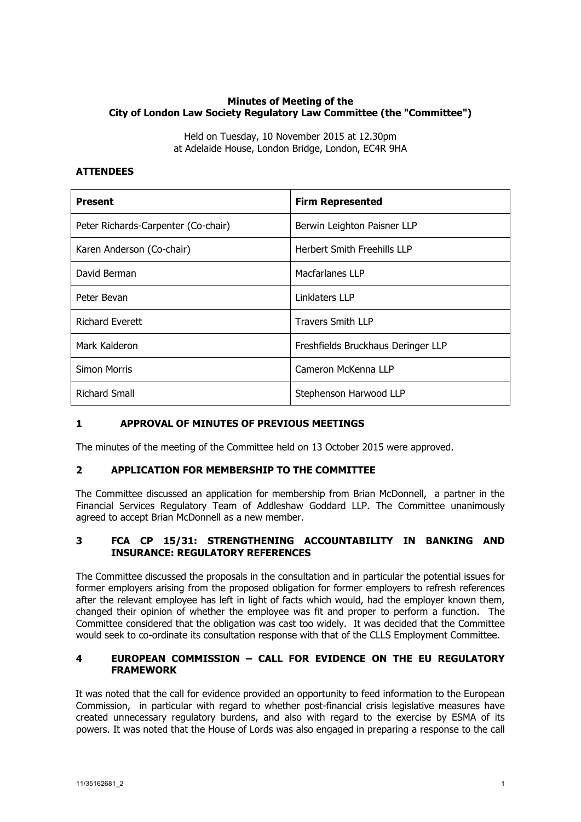## **Minutes of Meeting of the City of London Law Society Regulatory Law Committee (the "Committee")**

Held on Tuesday, 10 November 2015 at 12.30pm at Adelaide House, London Bridge, London, EC4R 9HA

### **ATTENDEES**

| <b>Present</b>                      | <b>Firm Represented</b>            |
|-------------------------------------|------------------------------------|
| Peter Richards-Carpenter (Co-chair) | Berwin Leighton Paisner LLP        |
| Karen Anderson (Co-chair)           | <b>Herbert Smith Freehills LLP</b> |
| David Berman                        | Macfarlanes LLP                    |
| Peter Bevan                         | Linklaters LLP                     |
| <b>Richard Everett</b>              | <b>Travers Smith LLP</b>           |
| Mark Kalderon                       | Freshfields Bruckhaus Deringer LLP |
| <b>Simon Morris</b>                 | Cameron McKenna LLP                |
| <b>Richard Small</b>                | Stephenson Harwood LLP             |

### **1 APPROVAL OF MINUTES OF PREVIOUS MEETINGS**

The minutes of the meeting of the Committee held on 13 October 2015 were approved.

### **2 APPLICATION FOR MEMBERSHIP TO THE COMMITTEE**

The Committee discussed an application for membership from Brian McDonnell, a partner in the Financial Services Regulatory Team of Addleshaw Goddard LLP. The Committee unanimously agreed to accept Brian McDonnell as a new member.

## **3 FCA CP 15/31: STRENGTHENING ACCOUNTABILITY IN BANKING AND INSURANCE: REGULATORY REFERENCES**

The Committee discussed the proposals in the consultation and in particular the potential issues for former employers arising from the proposed obligation for former employers to refresh references after the relevant employee has left in light of facts which would, had the employer known them, changed their opinion of whether the employee was fit and proper to perform a function. The Committee considered that the obligation was cast too widely. It was decided that the Committee would seek to co-ordinate its consultation response with that of the CLLS Employment Committee.

## **4 EUROPEAN COMMISSION – CALL FOR EVIDENCE ON THE EU REGULATORY FRAMEWORK**

It was noted that the call for evidence provided an opportunity to feed information to the European Commission, in particular with regard to whether post-financial crisis legislative measures have created unnecessary regulatory burdens, and also with regard to the exercise by ESMA of its powers. It was noted that the House of Lords was also engaged in preparing a response to the call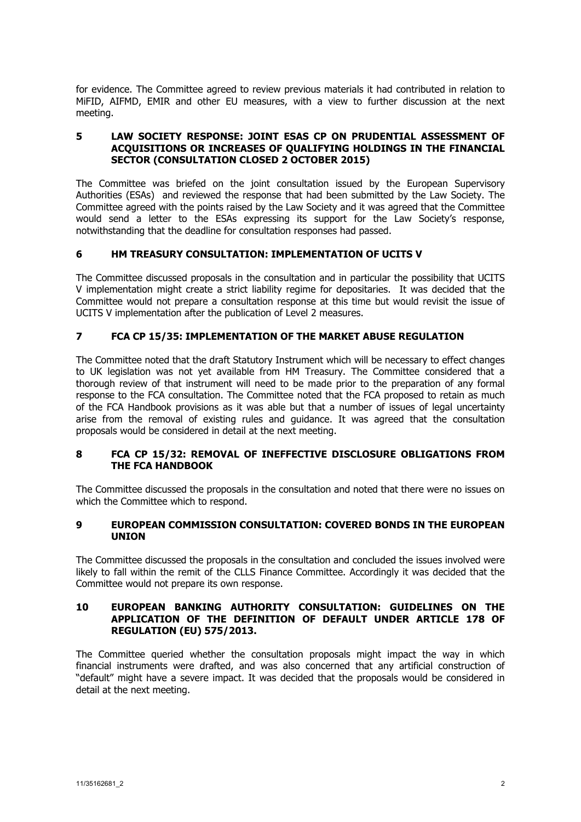for evidence. The Committee agreed to review previous materials it had contributed in relation to MiFID, AIFMD, EMIR and other EU measures, with a view to further discussion at the next meeting.

## **5 LAW SOCIETY RESPONSE: JOINT ESAS CP ON PRUDENTIAL ASSESSMENT OF ACQUISITIONS OR INCREASES OF QUALIFYING HOLDINGS IN THE FINANCIAL SECTOR (CONSULTATION CLOSED 2 OCTOBER 2015)**

The Committee was briefed on the joint consultation issued by the European Supervisory Authorities (ESAs) and reviewed the response that had been submitted by the Law Society. The Committee agreed with the points raised by the Law Society and it was agreed that the Committee would send a letter to the ESAs expressing its support for the Law Society's response, notwithstanding that the deadline for consultation responses had passed.

# **6 HM TREASURY CONSULTATION: IMPLEMENTATION OF UCITS V**

The Committee discussed proposals in the consultation and in particular the possibility that UCITS V implementation might create a strict liability regime for depositaries. It was decided that the Committee would not prepare a consultation response at this time but would revisit the issue of UCITS V implementation after the publication of Level 2 measures.

## **7 FCA CP 15/35: IMPLEMENTATION OF THE MARKET ABUSE REGULATION**

The Committee noted that the draft Statutory Instrument which will be necessary to effect changes to UK legislation was not yet available from HM Treasury. The Committee considered that a thorough review of that instrument will need to be made prior to the preparation of any formal response to the FCA consultation. The Committee noted that the FCA proposed to retain as much of the FCA Handbook provisions as it was able but that a number of issues of legal uncertainty arise from the removal of existing rules and guidance. It was agreed that the consultation proposals would be considered in detail at the next meeting.

### **8 FCA CP 15/32: REMOVAL OF INEFFECTIVE DISCLOSURE OBLIGATIONS FROM THE FCA HANDBOOK**

The Committee discussed the proposals in the consultation and noted that there were no issues on which the Committee which to respond.

### **9 EUROPEAN COMMISSION CONSULTATION: COVERED BONDS IN THE EUROPEAN UNION**

The Committee discussed the proposals in the consultation and concluded the issues involved were likely to fall within the remit of the CLLS Finance Committee. Accordingly it was decided that the Committee would not prepare its own response.

### **10 EUROPEAN BANKING AUTHORITY CONSULTATION: GUIDELINES ON THE APPLICATION OF THE DEFINITION OF DEFAULT UNDER ARTICLE 178 OF REGULATION (EU) 575/2013.**

The Committee queried whether the consultation proposals might impact the way in which financial instruments were drafted, and was also concerned that any artificial construction of "default" might have a severe impact. It was decided that the proposals would be considered in detail at the next meeting.